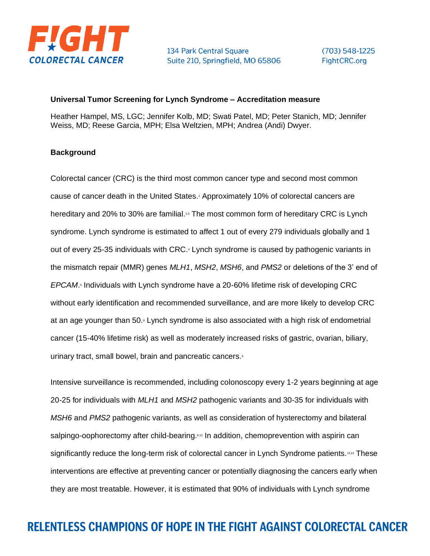

 $(703) 548 - 1225$ Fight CRC.org

#### **Universal Tumor Screening for Lynch Syndrome – Accreditation measure**

Heather Hampel, MS, LGC; Jennifer Kolb, MD; Swati Patel, MD; Peter Stanich, MD; Jennifer Weiss, MD; Reese Garcia, MPH; Elsa Weltzien, MPH; Andrea (Andi) Dwyer.

### **Background**

Colorectal cancer (CRC) is the third most common cancer type and second most common cause of cancer death in the United States.<sup>1</sup> Approximately 10% of colorectal cancers are hereditary and 20% to 30% are familial.<sup>23</sup> The most common form of hereditary CRC is Lynch syndrome. Lynch syndrome is estimated to affect 1 out of every 279 individuals globally and 1 out of every 25-35 individuals with CRC.<sup>4</sup> Lynch syndrome is caused by pathogenic variants in the mismatch repair (MMR) genes *MLH1*, *MSH2*, *MSH6*, and *PMS2* or deletions of the 3' end of EPCAM.<sup>5</sup> Individuals with Lynch syndrome have a 20-60% lifetime risk of developing CRC without early identification and recommended surveillance, and are more likely to develop CRC at an age younger than 50. Lynch syndrome is also associated with a high risk of endometrial cancer (15-40% lifetime risk) as well as moderately increased risks of gastric, ovarian, biliary, urinary tract, small bowel, brain and pancreatic cancers.<sup>6</sup>

Intensive surveillance is recommended, including colonoscopy every 1-2 years beginning at age 20-25 for individuals with *MLH1* and *MSH2* pathogenic variants and 30-35 for individuals with *MSH6* and *PMS2* pathogenic variants, as well as consideration of hysterectomy and bilateral salpingo-oophorectomy after child-bearing.<sup>642</sup> In addition, chemoprevention with aspirin can significantly reduce the long-term risk of colorectal cancer in Lynch Syndrome patients.<sup>13,14</sup> These interventions are effective at preventing cancer or potentially diagnosing the cancers early when they are most treatable. However, it is estimated that 90% of individuals with Lynch syndrome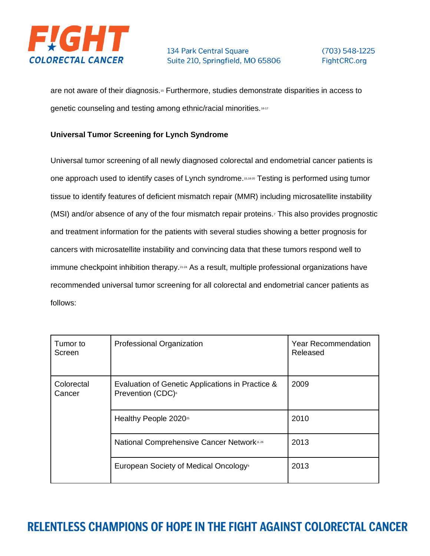

are not aware of their diagnosis.<sup>56</sup> Furthermore, studies demonstrate disparities in access to genetic counseling and testing among ethnic/racial minorities.<sup>16-17</sup>

### **Universal Tumor Screening for Lynch Syndrome**

Universal tumor screening of all newly diagnosed colorectal and endometrial cancer patients is one approach used to identify cases of Lynch syndrome.15,18-20 Testing is performed using tumor tissue to identify features of deficient mismatch repair (MMR) including microsatellite instability (MSI) and/or absence of any of the four mismatch repair proteins.<sup>7</sup> This also provides prognostic and treatment information for the patients with several studies showing a better prognosis for cancers with microsatellite instability and convincing data that these tumors respond well to immune checkpoint inhibition therapy. 21-24 As a result, multiple professional organizations have recommended universal tumor screening for all colorectal and endometrial cancer patients as follows:

| Tumor to<br>Screen   | Professional Organization                                                         | <b>Year Recommendation</b><br>Released |
|----------------------|-----------------------------------------------------------------------------------|----------------------------------------|
| Colorectal<br>Cancer | Evaluation of Genetic Applications in Practice &<br>Prevention (CDC) <sup>6</sup> | 2009                                   |
|                      | Healthy People 2020 <sup>25</sup>                                                 | 2010                                   |
|                      | <b>National Comprehensive Cancer Network</b> <sup>6.26</sup>                      | 2013                                   |
|                      | European Society of Medical Oncology <sup>®</sup>                                 | 2013                                   |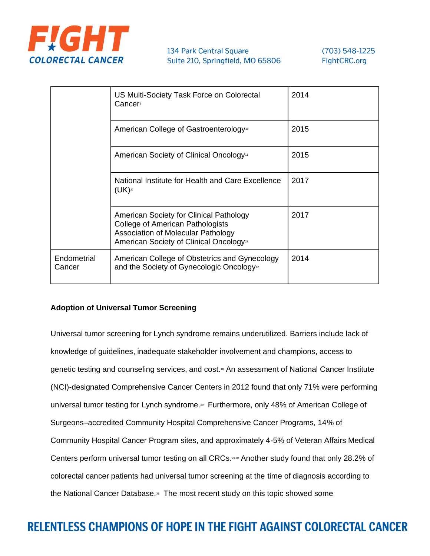

|                       | US Multi-Society Task Force on Colorectal<br>Cancer                                                                                                                             | 2014 |
|-----------------------|---------------------------------------------------------------------------------------------------------------------------------------------------------------------------------|------|
|                       | American College of Gastroenterology <sup>10</sup>                                                                                                                              | 2015 |
|                       | American Society of Clinical Oncology <sup>11</sup>                                                                                                                             | 2015 |
|                       | National Institute for Health and Care Excellence<br>$(UK)^{27}$                                                                                                                | 2017 |
|                       | American Society for Clinical Pathology<br>College of American Pathologists<br><b>Association of Molecular Pathology</b><br>American Society of Clinical Oncology <sup>28</sup> | 2017 |
| Endometrial<br>Cancer | American College of Obstetrics and Gynecology<br>and the Society of Gynecologic Oncology <sup>12</sup>                                                                          | 2014 |

### **Adoption of Universal Tumor Screening**

Universal tumor screening for Lynch syndrome remains underutilized. Barriers include lack of knowledge of guidelines, inadequate stakeholder involvement and champions, access to genetic testing and counseling services, and cost.<sup>18</sup> An assessment of National Cancer Institute (NCI)-designated Comprehensive Cancer Centers in 2012 found that only 71% were performing universal tumor testing for Lynch syndrome.<sup>29</sup> Furthermore, only 48% of American College of Surgeons–accredited Community Hospital Comprehensive Cancer Programs, 14% of Community Hospital Cancer Program sites, and approximately 4-5% of Veteran Affairs Medical Centers perform universal tumor testing on all CRCs.29,30 Another study found that only 28.2% of colorectal cancer patients had universal tumor screening at the time of diagnosis according to the National Cancer Database.<sup>31</sup> The most recent study on this topic showed some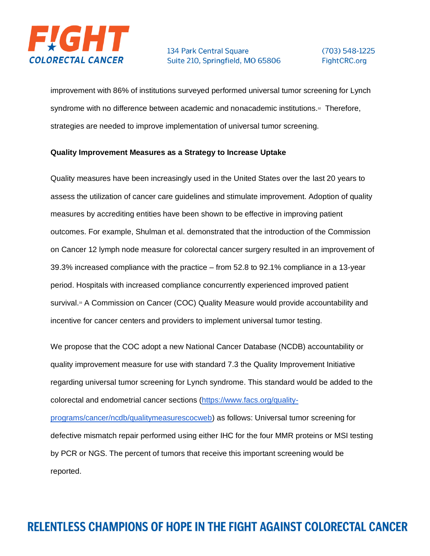

improvement with 86% of institutions surveyed performed universal tumor screening for Lynch syndrome with no difference between academic and nonacademic institutions.<sup>32</sup> Therefore, strategies are needed to improve implementation of universal tumor screening.

### **Quality Improvement Measures as a Strategy to Increase Uptake**

Quality measures have been increasingly used in the United States over the last 20 years to assess the utilization of cancer care guidelines and stimulate improvement. Adoption of quality measures by accrediting entities have been shown to be effective in improving patient outcomes. For example, Shulman et al. demonstrated that the introduction of the Commission on Cancer 12 lymph node measure for colorectal cancer surgery resulted in an improvement of 39.3% increased compliance with the practice – from 52.8 to 92.1% compliance in a 13-year period. Hospitals with increased compliance concurrently experienced improved patient survival.<sup>33</sup> A Commission on Cancer (COC) Quality Measure would provide accountability and incentive for cancer centers and providers to implement universal tumor testing.

We propose that the COC adopt a new National Cancer Database (NCDB) accountability or quality improvement measure for use with standard 7.3 the Quality Improvement Initiative regarding universal tumor screening for Lynch syndrome. This standard would be added to the colorectal and endometrial cancer sections [\(https://www.facs.org/quality-](https://www.facs.org/quality-programs/cancer/ncdb/qualitymeasurescocweb)

[programs/cancer/ncdb/qualitymeasurescocweb\)](https://www.facs.org/quality-programs/cancer/ncdb/qualitymeasurescocweb) as follows: Universal tumor screening for defective mismatch repair performed using either IHC for the four MMR proteins or MSI testing by PCR or NGS. The percent of tumors that receive this important screening would be reported.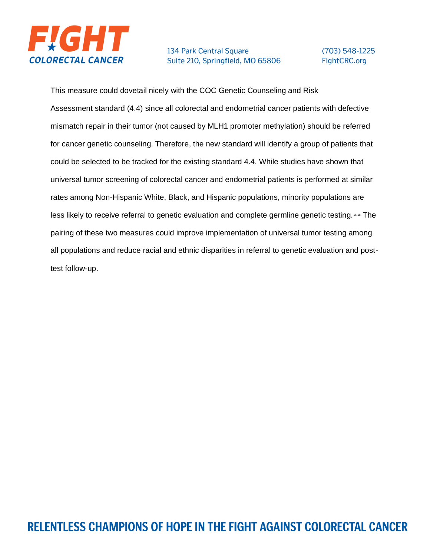

### $(703) 548 - 1225$ FightCRC.org

This measure could dovetail nicely with the COC Genetic Counseling and Risk Assessment standard (4.4) since all colorectal and endometrial cancer patients with defective mismatch repair in their tumor (not caused by MLH1 promoter methylation) should be referred for cancer genetic counseling. Therefore, the new standard will identify a group of patients that could be selected to be tracked for the existing standard 4.4. While studies have shown that universal tumor screening of colorectal cancer and endometrial patients is performed at similar rates among Non-Hispanic White, Black, and Hispanic populations, minority populations are less likely to receive referral to genetic evaluation and complete germline genetic testing. 16-18 The pairing of these two measures could improve implementation of universal tumor testing among all populations and reduce racial and ethnic disparities in referral to genetic evaluation and posttest follow-up.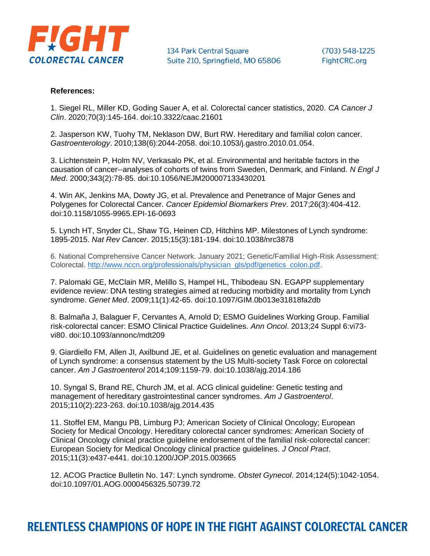

#### **References:**

1. Siegel RL, Miller KD, Goding Sauer A, et al. Colorectal cancer statistics, 2020. *CA Cancer J Clin*. 2020;70(3):145-164. doi:10.3322/caac.21601

2. Jasperson KW, Tuohy TM, Neklason DW, Burt RW. Hereditary and familial colon cancer. *Gastroenterology*. 2010;138(6):2044-2058. doi:10.1053/j.gastro.2010.01.054.

3. Lichtenstein P, Holm NV, Verkasalo PK, et al. Environmental and heritable factors in the causation of cancer--analyses of cohorts of twins from Sweden, Denmark, and Finland. *N Engl J Med*. 2000;343(2):78-85. doi:10.1056/NEJM200007133430201

4. Win AK, Jenkins MA, Dowty JG, et al. Prevalence and Penetrance of Major Genes and Polygenes for Colorectal Cancer. *Cancer Epidemiol Biomarkers Prev*. 2017;26(3):404-412. doi:10.1158/1055-9965.EPI-16-0693

5. Lynch HT, Snyder CL, Shaw TG, Heinen CD, Hitchins MP. Milestones of Lynch syndrome: 1895-2015. *Nat Rev Cancer*. 2015;15(3):181-194. doi:10.1038/nrc3878

6. National Comprehensive Cancer Network. January 2021; Genetic/Familial High-Risk Assessment: Colorectal. [http://www.nccn.org/professionals/physician\\_gls/pdf/genetics\\_colon.pdf.](http://www.nccn.org/professionals/physician_gls/pdf/genetics_colon.pdf)

7. Palomaki GE, McClain MR, Melillo S, Hampel HL, Thibodeau SN. EGAPP supplementary evidence review: DNA testing strategies aimed at reducing morbidity and mortality from Lynch syndrome. *Genet Med*. 2009;11(1):42-65. doi:10.1097/GIM.0b013e31818fa2db

8. Balmaña J, Balaguer F, Cervantes A, Arnold D; ESMO Guidelines Working Group. Familial risk-colorectal cancer: ESMO Clinical Practice Guidelines. *Ann Oncol*. 2013;24 Suppl 6:vi73 vi80. doi:10.1093/annonc/mdt209

9. Giardiello FM, Allen JI, Axilbund JE, et al. Guidelines on genetic evaluation and management of Lynch syndrome: a consensus statement by the US Multi-society Task Force on colorectal cancer. *Am J Gastroenterol* 2014;109:1159-79. doi:10.1038/ajg.2014.186

10. Syngal S, Brand RE, Church JM, et al. ACG clinical guideline: Genetic testing and management of hereditary gastrointestinal cancer syndromes. *Am J Gastroenterol*. 2015;110(2):223-263. doi:10.1038/ajg.2014.435

11. Stoffel EM, Mangu PB, Limburg PJ; American Society of Clinical Oncology; European Society for Medical Oncology. Hereditary colorectal cancer syndromes: American Society of Clinical Oncology clinical practice guideline endorsement of the familial risk-colorectal cancer: European Society for Medical Oncology clinical practice guidelines. *J Oncol Pract*. 2015;11(3):e437-e441. doi:10.1200/JOP.2015.003665

12. ACOG Practice Bulletin No. 147: Lynch syndrome. *Obstet Gynecol*. 2014;124(5):1042-1054. doi:10.1097/01.AOG.0000456325.50739.72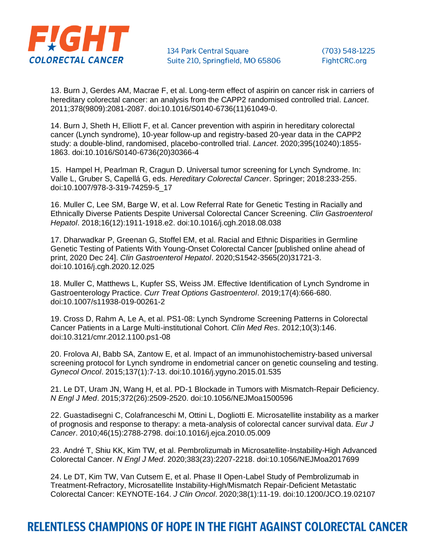

13. Burn J, Gerdes AM, Macrae F, et al. Long-term effect of aspirin on cancer risk in carriers of hereditary colorectal cancer: an analysis from the CAPP2 randomised controlled trial. *Lancet*. 2011;378(9809):2081-2087. doi:10.1016/S0140-6736(11)61049-0.

14. Burn J, Sheth H, Elliott F, et al. Cancer prevention with aspirin in hereditary colorectal cancer (Lynch syndrome), 10-year follow-up and registry-based 20-year data in the CAPP2 study: a double-blind, randomised, placebo-controlled trial. *Lancet*. 2020;395(10240):1855- 1863. doi:10.1016/S0140-6736(20)30366-4

15. Hampel H, Pearlman R, Cragun D. Universal tumor screening for Lynch Syndrome. In: Valle L, Gruber S, Capellá G, eds. *Hereditary Colorectal Cancer*. Springer; 2018:233-255. doi:10.1007/978-3-319-74259-5\_17

16. Muller C, Lee SM, Barge W, et al. Low Referral Rate for Genetic Testing in Racially and Ethnically Diverse Patients Despite Universal Colorectal Cancer Screening. *Clin Gastroenterol Hepatol*. 2018;16(12):1911-1918.e2. doi:10.1016/j.cgh.2018.08.038

17. Dharwadkar P, Greenan G, Stoffel EM, et al. Racial and Ethnic Disparities in Germline Genetic Testing of Patients With Young-Onset Colorectal Cancer [published online ahead of print, 2020 Dec 24]. *Clin Gastroenterol Hepatol*. 2020;S1542-3565(20)31721-3. doi:10.1016/j.cgh.2020.12.025

18. Muller C, Matthews L, Kupfer SS, Weiss JM. Effective Identification of Lynch Syndrome in Gastroenterology Practice. *Curr Treat Options Gastroenterol*. 2019;17(4):666-680. doi:10.1007/s11938-019-00261-2

19. Cross D, Rahm A, Le A, et al. PS1-08: Lynch Syndrome Screening Patterns in Colorectal Cancer Patients in a Large Multi-institutional Cohort. *Clin Med Res*. 2012;10(3):146. doi:10.3121/cmr.2012.1100.ps1-08

20. Frolova AI, Babb SA, Zantow E, et al. Impact of an immunohistochemistry-based universal screening protocol for Lynch syndrome in endometrial cancer on genetic counseling and testing. *Gynecol Oncol*. 2015;137(1):7-13. doi:10.1016/j.ygyno.2015.01.535

21. Le DT, Uram JN, Wang H, et al. PD-1 Blockade in Tumors with Mismatch-Repair Deficiency. *N Engl J Med*. 2015;372(26):2509-2520. doi:10.1056/NEJMoa1500596

22. Guastadisegni C, Colafranceschi M, Ottini L, Dogliotti E. Microsatellite instability as a marker of prognosis and response to therapy: a meta-analysis of colorectal cancer survival data. *Eur J Cancer*. 2010;46(15):2788-2798. doi:10.1016/j.ejca.2010.05.009

23. André T, Shiu KK, Kim TW, et al. Pembrolizumab in Microsatellite-Instability-High Advanced Colorectal Cancer. *N Engl J Med*. 2020;383(23):2207-2218. doi:10.1056/NEJMoa2017699

24. Le DT, Kim TW, Van Cutsem E, et al. Phase II Open-Label Study of Pembrolizumab in Treatment-Refractory, Microsatellite Instability-High/Mismatch Repair-Deficient Metastatic Colorectal Cancer: KEYNOTE-164. *J Clin Oncol*. 2020;38(1):11-19. doi:10.1200/JCO.19.02107